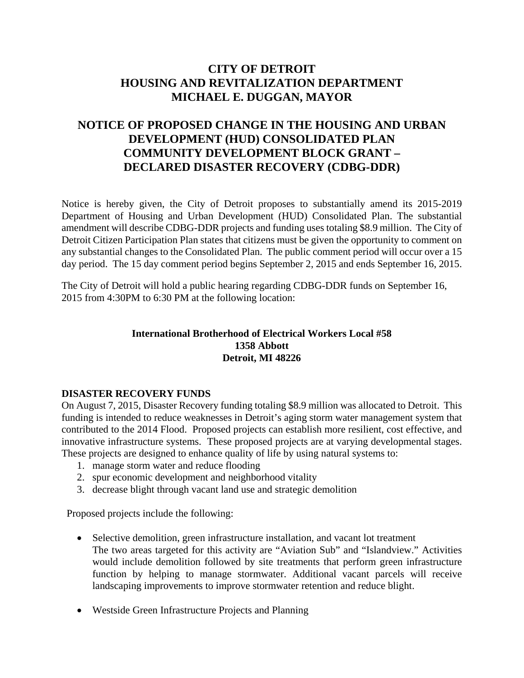## **CITY OF DETROIT HOUSING AND REVITALIZATION DEPARTMENT MICHAEL E. DUGGAN, MAYOR**

## **NOTICE OF PROPOSED CHANGE IN THE HOUSING AND URBAN DEVELOPMENT (HUD) CONSOLIDATED PLAN COMMUNITY DEVELOPMENT BLOCK GRANT – DECLARED DISASTER RECOVERY (CDBG-DDR)**

Notice is hereby given, the City of Detroit proposes to substantially amend its 2015-2019 Department of Housing and Urban Development (HUD) Consolidated Plan. The substantial amendment will describe CDBG-DDR projects and funding uses totaling \$8.9 million. The City of Detroit Citizen Participation Plan states that citizens must be given the opportunity to comment on any substantial changes to the Consolidated Plan. The public comment period will occur over a 15 day period. The 15 day comment period begins September 2, 2015 and ends September 16, 2015.

The City of Detroit will hold a public hearing regarding CDBG-DDR funds on September 16, 2015 from 4:30PM to 6:30 PM at the following location:

## **International Brotherhood of Electrical Workers Local #58 1358 Abbott Detroit, MI 48226**

## **DISASTER RECOVERY FUNDS**

On August 7, 2015, Disaster Recovery funding totaling \$8.9 million was allocated to Detroit. This funding is intended to reduce weaknesses in Detroit's aging storm water management system that contributed to the 2014 Flood. Proposed projects can establish more resilient, cost effective, and innovative infrastructure systems. These proposed projects are at varying developmental stages. These projects are designed to enhance quality of life by using natural systems to:

- 1. manage storm water and reduce flooding
- 2. spur economic development and neighborhood vitality
- 3. decrease blight through vacant land use and strategic demolition

Proposed projects include the following:

- Selective demolition, green infrastructure installation, and vacant lot treatment The two areas targeted for this activity are "Aviation Sub" and "Islandview." Activities would include demolition followed by site treatments that perform green infrastructure function by helping to manage stormwater. Additional vacant parcels will receive landscaping improvements to improve stormwater retention and reduce blight.
- Westside Green Infrastructure Projects and Planning